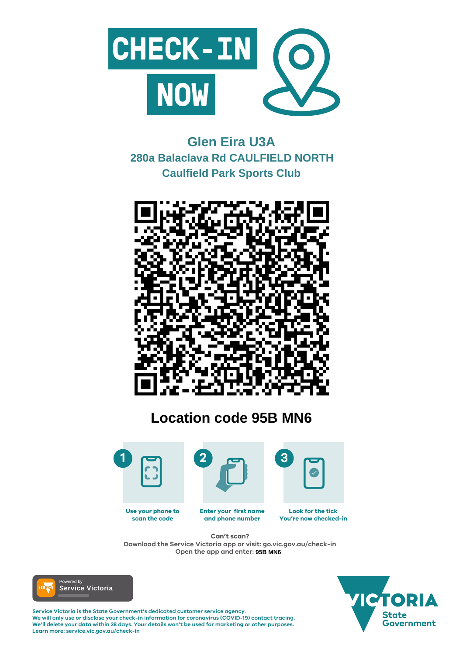

#### **Enter your first name and phone number Look for the tick You're now checked-in Use your phone to scan the code**

**Service Victoria is the State Government's dedicated customer service agency. We will only use or disclose your check-in information for coronavirus (COVID-19) contact tracing. We'll delete your data within 28 days. Your details won't be used for marketing or other purposes. Learn more: service.vic.gov.au/check-in**





## **Can't scan?**

**Download the Service Victoria app or visit: go.vic.gov.au/check-in Open the app and enter: 95B MN6**



# **Glen Eira U3A 280a Balaclava Rd CAULFIELD NORTH Caulfield Park Sports Club**



# **Location code 95B MN6**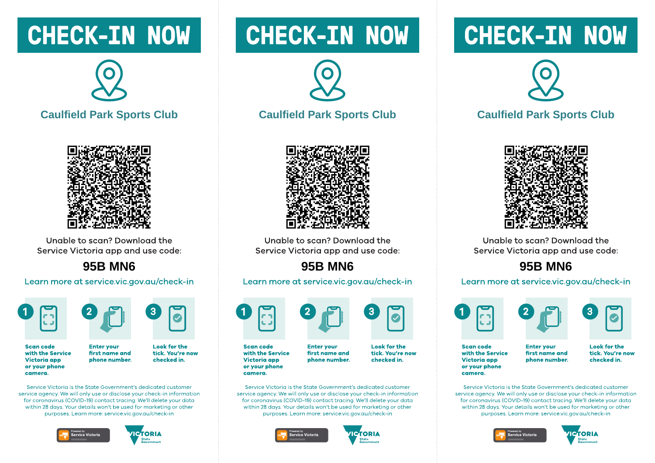## **CHECK-IN NOW**

![](_page_1_Picture_1.jpeg)

## **Caulfield Park Sports Club**

![](_page_1_Picture_3.jpeg)

Unable to scan? Download the Service Victoria app and use code:

## **95B MN6**

#### Learn more at service.vic.gov.au/check-in

![](_page_1_Picture_7.jpeg)

![](_page_1_Picture_8.jpeg)

**Scan code** with the Service **Victoria** app or your phone camera.

**Look for the** first name and tick. You're now checked in. phone number.

Service Victoria is the State Government's dedicated customer service gaency. We will only use or disclose your check-in information for coronavirus (COVID-19) contact tracing. We'll delete your data within 28 days. Your details won't be used for marketing or other purposes. Learn more: service.vic.gov.gu/check-in

**Enter vour** 

![](_page_1_Picture_12.jpeg)

![](_page_1_Picture_13.jpeg)

## **CHECK-IN NOW**

![](_page_1_Picture_15.jpeg)

### **Caulfield Park Sports Club**

![](_page_1_Picture_17.jpeg)

Unable to scan? Download the Service Victoria app and use code:

## **95B MN6**

#### Learn more at service.vic.gov.au/check-in

![](_page_1_Picture_21.jpeg)

**Scan code** with the Service **Victoria app** or your phone camera.

**Enter vour** first name and phone number.

**Look for the** 

tick. You're now checked in.

Service Victoria is the State Government's dedicated customer service gaency. We will only use or disclose your check-in information for coronavirus (COVID-19) contact tracing. We'll delete your data within 28 days. Your details won't be used for marketing or other purposes. Learn more: service.vic.gov.gu/check-in

![](_page_1_Picture_28.jpeg)

![](_page_1_Picture_29.jpeg)

## **CHECK-IN NOW**

![](_page_1_Picture_31.jpeg)

## **Caulfield Park Sports Club**

![](_page_1_Picture_33.jpeg)

Unable to scan? Download the Service Victoria app and use code:

## **95B MN6**

#### Learn more at service.vic.gov.au/check-in

![](_page_1_Picture_37.jpeg)

![](_page_1_Picture_39.jpeg)

**Scan code** with the Service **Victoria app** or your phone camera.

**Enter vour** first name and phone number. **Look for the** tick. You're now checked in.

Service Victoria is the State Government's dedicated customer service gaency. We will only use or disclose your check-in information for coronavirus (COVID-19) contact tracing. We'll delete your data within 28 days. Your details won't be used for marketing or other purposes. Learn more: service.vic.gov.gu/check-in

![](_page_1_Picture_44.jpeg)

![](_page_1_Picture_45.jpeg)